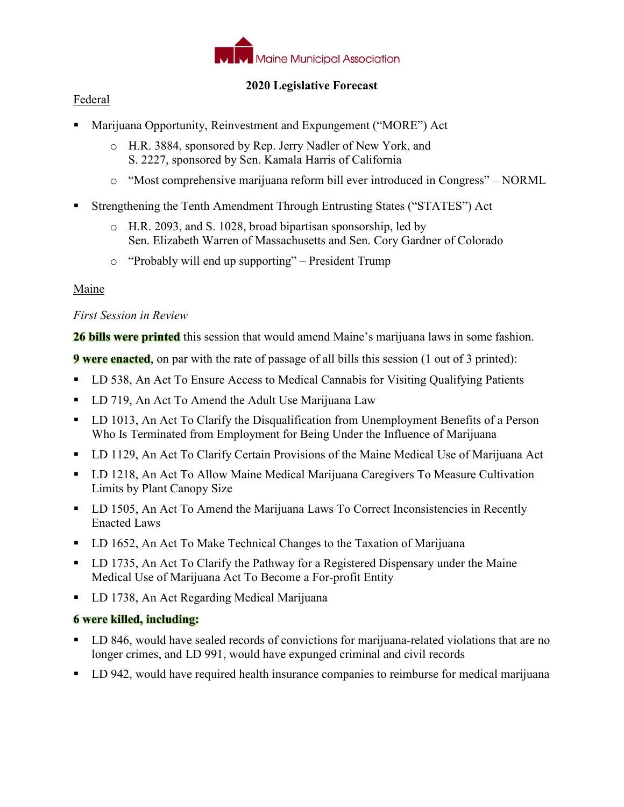

## **2020 Legislative Forecast**

## Federal

- Marijuana Opportunity, Reinvestment and Expungement ("MORE") Act
	- o H.R. 3884, sponsored by Rep. Jerry Nadler of New York, and S. 2227, sponsored by Sen. Kamala Harris of California
	- o "Most comprehensive marijuana reform bill ever introduced in Congress" NORML
- Strengthening the Tenth Amendment Through Entrusting States ("STATES") Act
	- o H.R. 2093, and S. 1028, broad bipartisan sponsorship, led by Sen. Elizabeth Warren of Massachusetts and Sen. Cory Gardner of Colorado
	- o "Probably will end up supporting" President Trump

## Maine

## *First Session in Review*

**26 bills were printed** this session that would amend Maine's marijuana laws in some fashion.

**9 were enacted**, on par with the rate of passage of all bills this session (1 out of 3 printed):

- LD 538, An Act To Ensure Access to Medical Cannabis for Visiting Qualifying Patients
- LD 719, An Act To Amend the Adult Use Marijuana Law
- LD 1013, An Act To Clarify the Disqualification from Unemployment Benefits of a Person Who Is Terminated from Employment for Being Under the Influence of Marijuana
- **LD 1129, An Act To Clarify Certain Provisions of the Maine Medical Use of Marijuana Act**
- LD 1218, An Act To Allow Maine Medical Marijuana Caregivers To Measure Cultivation Limits by Plant Canopy Size
- **LD 1505, An Act To Amend the Marijuana Laws To Correct Inconsistencies in Recently** Enacted Laws
- **LD 1652, An Act To Make Technical Changes to the Taxation of Marijuana**
- **LD** 1735, An Act To Clarify the Pathway for a Registered Dispensary under the Maine Medical Use of Marijuana Act To Become a For-profit Entity
- **LD 1738, An Act Regarding Medical Marijuana**

#### **6 were killed, including:**

- LD 846, would have sealed records of convictions for marijuana-related violations that are no longer crimes, and LD 991, would have expunged criminal and civil records
- LD 942, would have required health insurance companies to reimburse for medical marijuana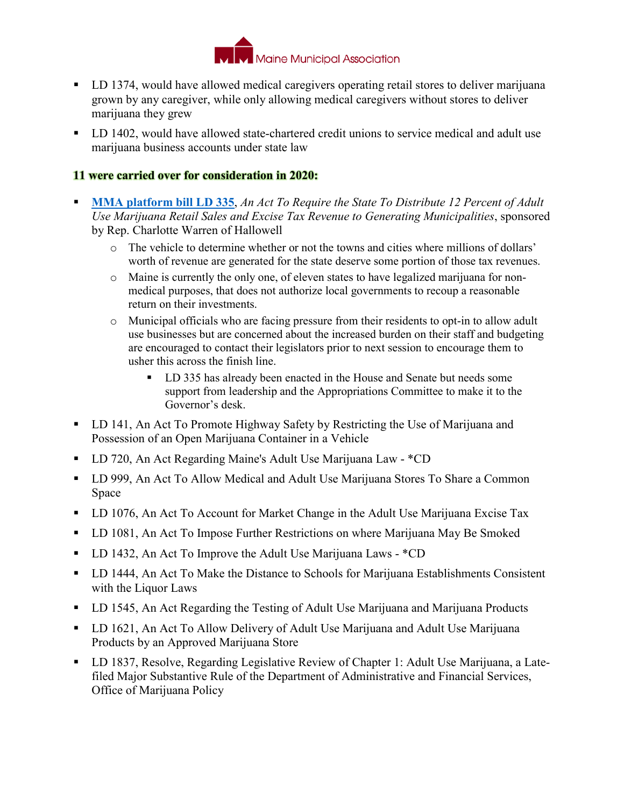

- LD 1374, would have allowed medical caregivers operating retail stores to deliver marijuana grown by any caregiver, while only allowing medical caregivers without stores to deliver marijuana they grew
- LD 1402, would have allowed state-chartered credit unions to service medical and adult use marijuana business accounts under state law

#### **11 were carried over for consideration in 2020:**

- **MMA platform bill LD 335**, *An Act To Require the State To Distribute 12 Percent of Adult Use Marijuana Retail Sales and Excise Tax Revenue to Generating Municipalities*, sponsored by Rep. Charlotte Warren of Hallowell
	- o The vehicle to determine whether or not the towns and cities where millions of dollars' worth of revenue are generated for the state deserve some portion of those tax revenues.
	- o Maine is currently the only one, of eleven states to have legalized marijuana for nonmedical purposes, that does not authorize local governments to recoup a reasonable return on their investments.
	- o Municipal officials who are facing pressure from their residents to opt-in to allow adult use businesses but are concerned about the increased burden on their staff and budgeting are encouraged to contact their legislators prior to next session to encourage them to usher this across the finish line.
		- LD 335 has already been enacted in the House and Senate but needs some support from leadership and the Appropriations Committee to make it to the Governor's desk.
- LD 141, An Act To Promote Highway Safety by Restricting the Use of Marijuana and Possession of an Open Marijuana Container in a Vehicle
- LD 720, An Act Regarding Maine's Adult Use Marijuana Law \*CD
- LD 999, An Act To Allow Medical and Adult Use Marijuana Stores To Share a Common Space
- LD 1076, An Act To Account for Market Change in the Adult Use Marijuana Excise Tax
- LD 1081, An Act To Impose Further Restrictions on where Marijuana May Be Smoked
- LD 1432, An Act To Improve the Adult Use Marijuana Laws \*CD
- LD 1444, An Act To Make the Distance to Schools for Marijuana Establishments Consistent with the Liquor Laws
- **LD 1545, An Act Regarding the Testing of Adult Use Marijuana and Marijuana Products**
- **LD 1621, An Act To Allow Delivery of Adult Use Marijuana and Adult Use Marijuana** Products by an Approved Marijuana Store
- LD 1837, Resolve, Regarding Legislative Review of Chapter 1: Adult Use Marijuana, a Latefiled Major Substantive Rule of the Department of Administrative and Financial Services, Office of Marijuana Policy